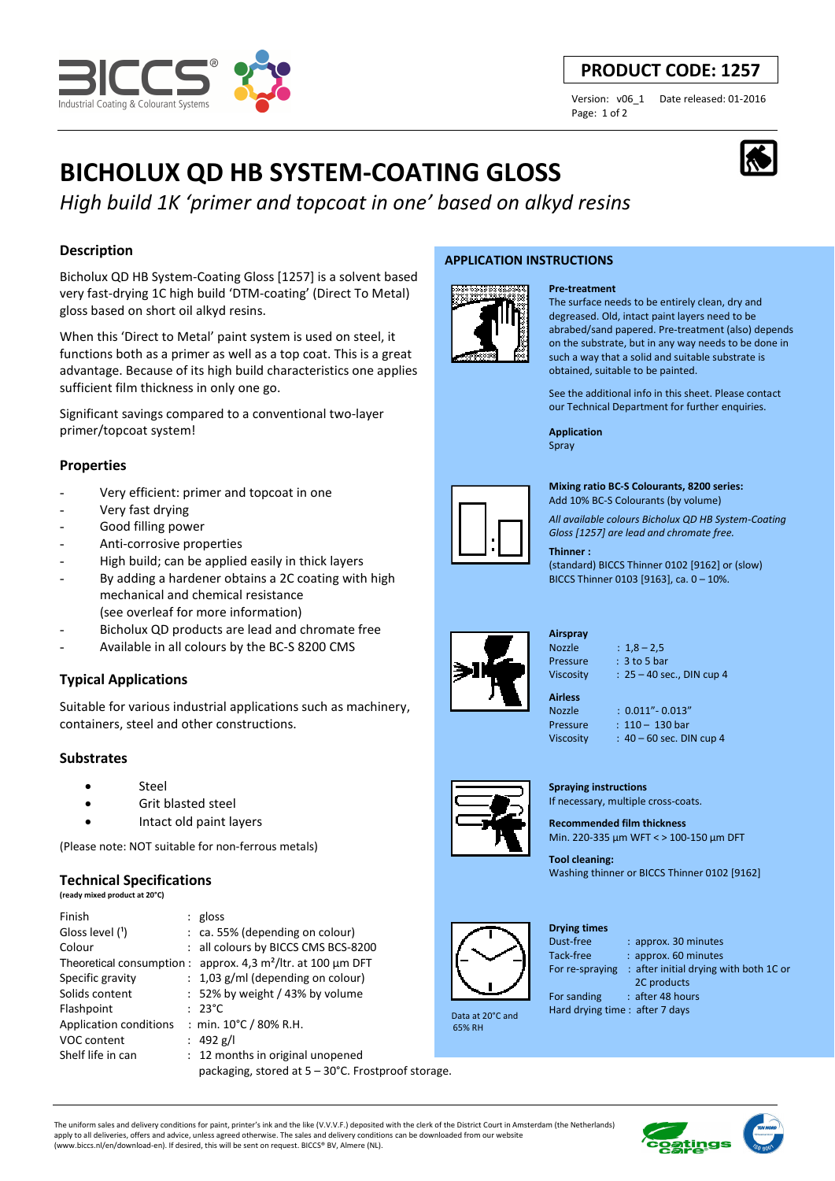

# **PRODUCT CODE: 1257**

Page: 1 of 2

Version: v06\_1 Date released: 01-2016

# **BICHOLUX QD HB SYSTEM-COATING GLOSS**

*High build 1K 'primer and topcoat in one' based on alkyd resins*

# **Description**

Bicholux QD HB System-Coating Gloss [1257] is a solvent based very fast-drying 1C high build 'DTM-coating' (Direct To Metal) gloss based on short oil alkyd resins.

When this 'Direct to Metal' paint system is used on steel, it functions both as a primer as well as a top coat. This is a great advantage. Because of its high build characteristics one applies sufficient film thickness in only one go.

Significant savings compared to a conventional two-layer primer/topcoat system!

## **Properties**

- Very efficient: primer and topcoat in one
- Very fast drying
- Good filling power
- Anti-corrosive properties
- High build; can be applied easily in thick layers
- By adding a hardener obtains a 2C coating with high mechanical and chemical resistance
- (see overleaf for more information)
- Bicholux QD products are lead and chromate free
- Available in all colours by the BC-S 8200 CMS

# **Typical Applications**

Suitable for various industrial applications such as machinery, containers, steel and other constructions.

## **Substrates**

- Steel
- Grit blasted steel
- Intact old paint layers

(Please note: NOT suitable for non-ferrous metals)

## **Technical Specifications**

**(ready mixed product at 20°C)**

| Finish                 | $:$ gloss                                                       |  |
|------------------------|-----------------------------------------------------------------|--|
| Gloss level (1)        | $:$ ca. 55% (depending on colour)                               |  |
| Colour                 | : all colours by BICCS CMS BCS-8200                             |  |
|                        | Theoretical consumption : approx. 4,3 $m^2$ /ltr. at 100 µm DFT |  |
| Specific gravity       | $: 1,03$ g/ml (depending on colour)                             |  |
| Solids content         | : 52% by weight / 43% by volume                                 |  |
| Flashpoint             | $: 23^{\circ}$ C                                                |  |
| Application conditions | : min. $10^{\circ}$ C / 80% R.H.                                |  |
| VOC content            | : 492 g/l                                                       |  |
| Shelf life in can      | : 12 months in original unopened                                |  |
|                        | packaging, stored at 5 - 30°C. Frostproof storage.              |  |

#### **APPLICATION INSTRUCTIONS**



The surface needs to be entirely clean, dry and degreased. Old, intact paint layers need to be abrabed/sand papered. Pre-treatment (also) depends on the substrate, but in any way needs to be done in such a way that a solid and suitable substrate is obtained, suitable to be painted.

See the additional info in this sheet. Please contact our Technical Department for further enquiries.

**Application**  Spray

**Pre-treatment**



**Mixing ratio BC-S Colourants, 8200 series:** 

Add 10% BC-S Colourants (by volume)

*All available colours Bicholux QD HB System-Coating Gloss [1257] are lead and chromate free.*

#### **Thinner :**

(standard) BICCS Thinner 0102 [9162] or (slow) BICCS Thinner 0103 [9163], ca. 0 – 10%.



**Airspray**  Nozzle : 1,8 – 2,5

**Airless** 

Pressure : 3 to 5 bar Viscosity : 25 – 40 sec., DIN cup 4

Nozzle : 0.011"- 0.013"

**Tool cleaning:**  Washing thinner or BICCS Thinner 0102 [9162]



65% RH

# **Drying times**

Tack-free : approx. 60 minutes

For re-spraying : after initial drying with both 1C or

: approx. 30 minutes

2C products

The uniform sales and delivery conditions for paint, printer's ink and the like (V.V.V.F.) deposited with the clerk of the District Court in Amsterdam (the Netherlands) apply to all deliveries, offers and advice, unless agreed otherwise. The sales and delivery conditions can be downloaded from our website (www.biccs.nl/en/download-en). If desired, this will be sent on request. BICCS® BV, Almere (NL).



Pressure : 110 – 130 bar



Viscosity : 40 – 60 sec. DIN cup 4



**Spraying instructions** 

If necessary, multiple cross-coats.

**Recommended film thickness**  Min. 220-335 µm WFT < > 100-150 µm DFT